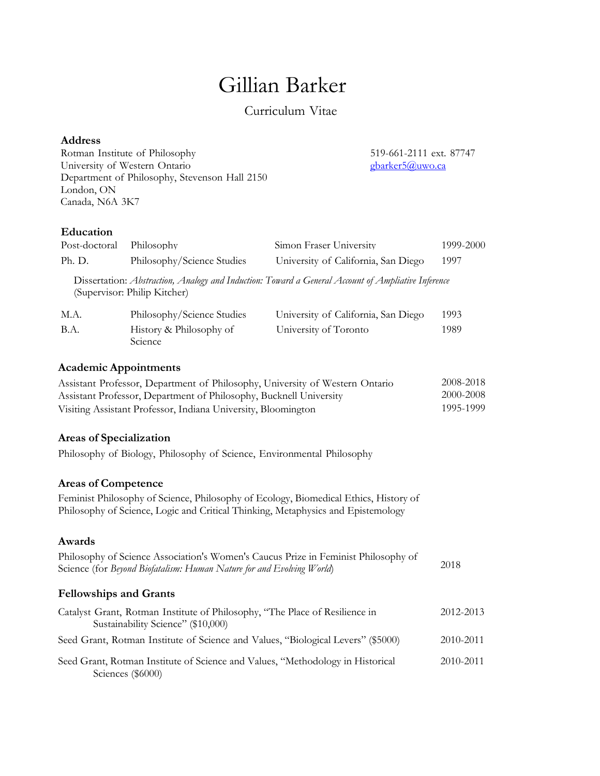# Gillian Barker

# Curriculum Vitae

# **Address**

Rotman Institute of Philosophy 519-661-2111 ext. 87747<br>University of Western Ontario 519-661-2111 ext. 87747 University of Western Ontario Department of Philosophy, Stevenson Hall 2150 London, ON Canada, N6A 3K7

# **Education**

| Post-doctoral                                                                                                                                                       | Philosophy                                                                                                        | Simon Fraser University                                                                                                                                                  | 1999-2000              |  |  |
|---------------------------------------------------------------------------------------------------------------------------------------------------------------------|-------------------------------------------------------------------------------------------------------------------|--------------------------------------------------------------------------------------------------------------------------------------------------------------------------|------------------------|--|--|
| Ph. D.                                                                                                                                                              | Philosophy/Science Studies                                                                                        | University of California, San Diego                                                                                                                                      | 1997                   |  |  |
|                                                                                                                                                                     | (Supervisor: Philip Kitcher)                                                                                      | Dissertation: Abstraction, Analogy and Induction: Toward a General Account of Ampliative Inference                                                                       |                        |  |  |
| M.A.                                                                                                                                                                | Philosophy/Science Studies                                                                                        | University of California, San Diego                                                                                                                                      | 1993                   |  |  |
| B.A.                                                                                                                                                                | History & Philosophy of<br>Science                                                                                | University of Toronto                                                                                                                                                    | 1989                   |  |  |
| <b>Academic Appointments</b>                                                                                                                                        |                                                                                                                   |                                                                                                                                                                          |                        |  |  |
| Assistant Professor, Department of Philosophy, University of Western Ontario<br>Assistant Professor, Department of Philosophy, Bucknell University                  |                                                                                                                   |                                                                                                                                                                          | 2008-2018<br>2000-2008 |  |  |
|                                                                                                                                                                     | 1995-1999<br>Visiting Assistant Professor, Indiana University, Bloomington                                        |                                                                                                                                                                          |                        |  |  |
| <b>Areas of Specialization</b>                                                                                                                                      |                                                                                                                   |                                                                                                                                                                          |                        |  |  |
|                                                                                                                                                                     | Philosophy of Biology, Philosophy of Science, Environmental Philosophy                                            |                                                                                                                                                                          |                        |  |  |
| <b>Areas of Competence</b>                                                                                                                                          |                                                                                                                   |                                                                                                                                                                          |                        |  |  |
|                                                                                                                                                                     |                                                                                                                   | Feminist Philosophy of Science, Philosophy of Ecology, Biomedical Ethics, History of<br>Philosophy of Science, Logic and Critical Thinking, Metaphysics and Epistemology |                        |  |  |
| Awards                                                                                                                                                              |                                                                                                                   |                                                                                                                                                                          |                        |  |  |
| Philosophy of Science Association's Women's Caucus Prize in Feminist Philosophy of<br>2018<br>Science (for Beyond Biofatalism: Human Nature for and Evolving World) |                                                                                                                   |                                                                                                                                                                          |                        |  |  |
| <b>Fellowships and Grants</b>                                                                                                                                       |                                                                                                                   |                                                                                                                                                                          |                        |  |  |
|                                                                                                                                                                     | Catalyst Grant, Rotman Institute of Philosophy, "The Place of Resilience in<br>Sustainability Science" (\$10,000) |                                                                                                                                                                          | 2012-2013              |  |  |
|                                                                                                                                                                     | Seed Grant, Rotman Institute of Science and Values, "Biological Levers" (\$5000)                                  |                                                                                                                                                                          | 2010-2011              |  |  |
|                                                                                                                                                                     | Seed Grant, Rotman Institute of Science and Values, "Methodology in Historical<br>Sciences (\$6000)               |                                                                                                                                                                          | 2010-2011              |  |  |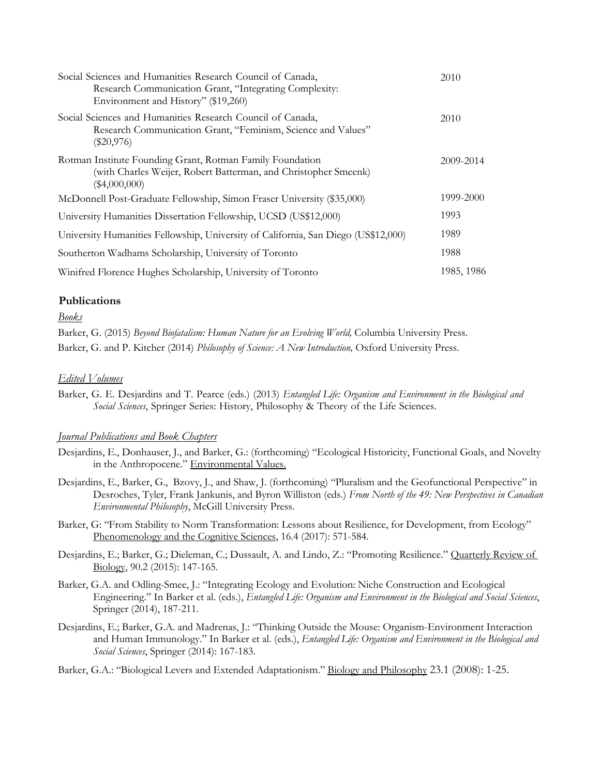| Social Sciences and Humanities Research Council of Canada,<br>Research Communication Grant, "Integrating Complexity:<br>Environment and History" (\$19,260) | 2010       |
|-------------------------------------------------------------------------------------------------------------------------------------------------------------|------------|
| Social Sciences and Humanities Research Council of Canada,<br>Research Communication Grant, "Feminism, Science and Values"<br>$(\$20,976)$                  | 2010       |
| Rotman Institute Founding Grant, Rotman Family Foundation<br>(with Charles Weijer, Robert Batterman, and Christopher Smeenk)<br>(\$4,000,000)               | 2009-2014  |
| McDonnell Post-Graduate Fellowship, Simon Fraser University (\$35,000)                                                                                      | 1999-2000  |
| University Humanities Dissertation Fellowship, UCSD (US\$12,000)                                                                                            | 1993       |
| University Humanities Fellowship, University of California, San Diego (US\$12,000)                                                                          | 1989       |
| Southerton Wadhams Scholarship, University of Toronto                                                                                                       | 1988       |
| Winifred Florence Hughes Scholarship, University of Toronto                                                                                                 | 1985, 1986 |

# **Publications**

## *Books*

Barker, G. (2015) *Beyond Biofatalism: Human Nature for an Evolving World,* Columbia University Press. Barker, G. and P. Kitcher (2014) *Philosophy of Science: A New Introduction,* Oxford University Press.

## *Edited Volumes*

Barker, G. E. Desjardins and T. Pearce (eds.) (2013) *Entangled Life: Organism and Environment in the Biological and Social Sciences*, Springer Series: History, Philosophy & Theory of the Life Sciences.

# *Journal Publications and Book Chapters*

- Desjardins, E., Donhauser, J., and Barker, G.: (forthcoming) "Ecological Historicity, Functional Goals, and Novelty in the Anthropocene." Environmental Values.
- Desjardins, E., Barker, G., Bzovy, J., and Shaw, J. (forthcoming) "Pluralism and the Geofunctional Perspective" in Desroches, Tyler, Frank Jankunis, and Byron Williston (eds.) *From North of the 49: New Perspectives in Canadian Environmental Philosophy*, McGill University Press.
- Barker, G: "From Stability to Norm Transformation: Lessons about Resilience, for Development, from Ecology" Phenomenology and the Cognitive Sciences, 16.4 (2017): 571-584.
- Desjardins, E.; Barker, G.; Dieleman, C.; Dussault, A. and Lindo, Z.: "Promoting Resilience." Quarterly Review of Biology, 90.2 (2015): 147-165.
- Barker, G.A. and Odling-Smee, J.: "Integrating Ecology and Evolution: Niche Construction and Ecological Engineering." In Barker et al. (eds.), *Entangled Life: Organism and Environment in the Biological and Social Sciences*, Springer (2014), 187-211.
- Desjardins, E.; Barker, G.A. and Madrenas, J.: "Thinking Outside the Mouse: Organism-Environment Interaction and Human Immunology." In Barker et al. (eds.), *Entangled Life: Organism and Environment in the Biological and Social Sciences*, Springer (2014): 167-183.

Barker, G.A.: "Biological Levers and Extended Adaptationism." Biology and Philosophy 23.1 (2008): 1-25.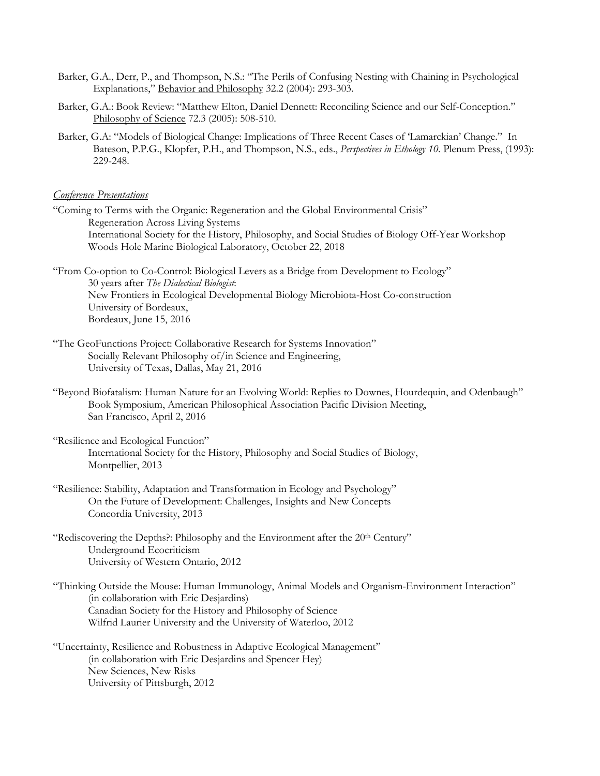- Barker, G.A., Derr, P., and Thompson, N.S.: "The Perils of Confusing Nesting with Chaining in Psychological Explanations," Behavior and Philosophy 32.2 (2004): 293-303.
- Barker, G.A.: Book Review: "Matthew Elton, Daniel Dennett: Reconciling Science and our Self-Conception." Philosophy of Science 72.3 (2005): 508-510.
- Barker, G.A: "Models of Biological Change: Implications of Three Recent Cases of 'Lamarckian' Change." In Bateson, P.P.G., Klopfer, P.H., and Thompson, N.S., eds., *Perspectives in Ethology 10.* Plenum Press, (1993): 229-248.

# *Conference Presentations*

"Coming to Terms with the Organic: Regeneration and the Global Environmental Crisis" Regeneration Across Living Systems International Society for the History, Philosophy, and Social Studies of Biology Off-Year Workshop Woods Hole Marine Biological Laboratory, October 22, 2018

"From Co-option to Co-Control: Biological Levers as a Bridge from Development to Ecology" 30 years after *The Dialectical Biologist*: New Frontiers in Ecological Developmental Biology Microbiota-Host Co-construction University of Bordeaux, Bordeaux, June 15, 2016

- "The GeoFunctions Project: Collaborative Research for Systems Innovation" Socially Relevant Philosophy of/in Science and Engineering, University of Texas, Dallas, May 21, 2016
- "Beyond Biofatalism: Human Nature for an Evolving World: Replies to Downes, Hourdequin, and Odenbaugh" Book Symposium, American Philosophical Association Pacific Division Meeting, San Francisco, April 2, 2016

"Resilience and Ecological Function" International Society for the History, Philosophy and Social Studies of Biology, Montpellier, 2013

- "Resilience: Stability, Adaptation and Transformation in Ecology and Psychology" On the Future of Development: Challenges, Insights and New Concepts Concordia University, 2013
- "Rediscovering the Depths?: Philosophy and the Environment after the 20<sup>th</sup> Century" Underground Ecocriticism University of Western Ontario, 2012
- "Thinking Outside the Mouse: Human Immunology, Animal Models and Organism-Environment Interaction" (in collaboration with Eric Desjardins) Canadian Society for the History and Philosophy of Science Wilfrid Laurier University and the University of Waterloo, 2012
- "Uncertainty, Resilience and Robustness in Adaptive Ecological Management" (in collaboration with Eric Desjardins and Spencer Hey) New Sciences, New Risks University of Pittsburgh, 2012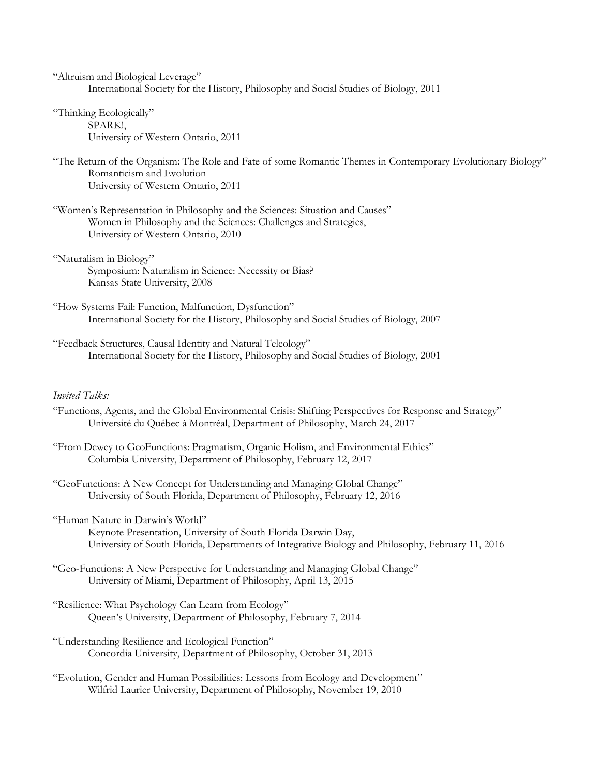"Altruism and Biological Leverage" International Society for the History, Philosophy and Social Studies of Biology, 2011

- "Thinking Ecologically" SPARK!, University of Western Ontario, 2011
- "The Return of the Organism: The Role and Fate of some Romantic Themes in Contemporary Evolutionary Biology" Romanticism and Evolution University of Western Ontario, 2011
- "Women's Representation in Philosophy and the Sciences: Situation and Causes" Women in Philosophy and the Sciences: Challenges and Strategies, University of Western Ontario, 2010
- "Naturalism in Biology" Symposium: Naturalism in Science: Necessity or Bias? Kansas State University, 2008
- "How Systems Fail: Function, Malfunction, Dysfunction" International Society for the History, Philosophy and Social Studies of Biology, 2007
- "Feedback Structures, Causal Identity and Natural Teleology" International Society for the History, Philosophy and Social Studies of Biology, 2001

## *Invited Talks:*

- "Functions, Agents, and the Global Environmental Crisis: Shifting Perspectives for Response and Strategy" Université du Québec à Montréal, Department of Philosophy, March 24, 2017
- "From Dewey to GeoFunctions: Pragmatism, Organic Holism, and Environmental Ethics" Columbia University, Department of Philosophy, February 12, 2017
- "GeoFunctions: A New Concept for Understanding and Managing Global Change" University of South Florida, Department of Philosophy, February 12, 2016
- "Human Nature in Darwin's World" Keynote Presentation, University of South Florida Darwin Day, University of South Florida, Departments of Integrative Biology and Philosophy, February 11, 2016
- "Geo-Functions: A New Perspective for Understanding and Managing Global Change" University of Miami, Department of Philosophy, April 13, 2015
- "Resilience: What Psychology Can Learn from Ecology" Queen's University, Department of Philosophy, February 7, 2014
- "Understanding Resilience and Ecological Function" Concordia University, Department of Philosophy, October 31, 2013
- "Evolution, Gender and Human Possibilities: Lessons from Ecology and Development" Wilfrid Laurier University, Department of Philosophy, November 19, 2010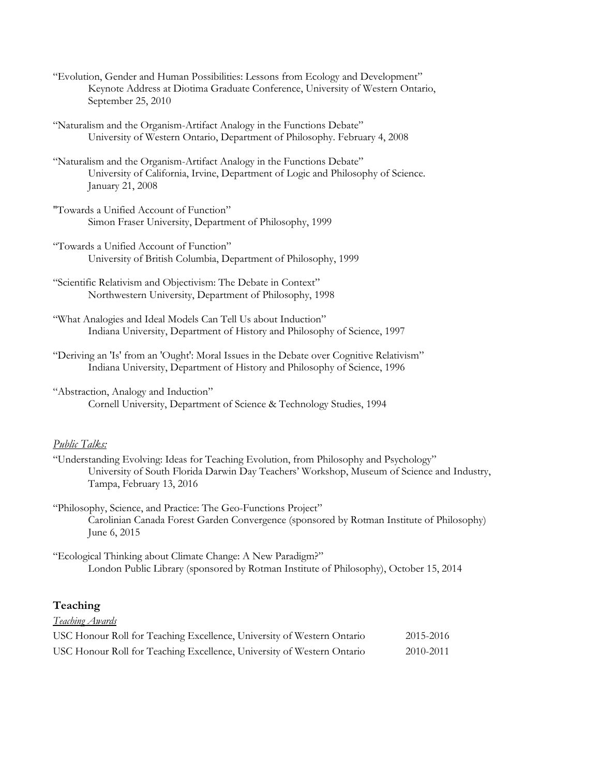- "Evolution, Gender and Human Possibilities: Lessons from Ecology and Development" Keynote Address at Diotima Graduate Conference, University of Western Ontario, September 25, 2010
- "Naturalism and the Organism-Artifact Analogy in the Functions Debate" University of Western Ontario, Department of Philosophy. February 4, 2008
- "Naturalism and the Organism-Artifact Analogy in the Functions Debate" University of California, Irvine, Department of Logic and Philosophy of Science. January 21, 2008
- "Towards a Unified Account of Function" Simon Fraser University, Department of Philosophy, 1999
- "Towards a Unified Account of Function" University of British Columbia, Department of Philosophy, 1999
- "Scientific Relativism and Objectivism: The Debate in Context" Northwestern University, Department of Philosophy, 1998
- "What Analogies and Ideal Models Can Tell Us about Induction" Indiana University, Department of History and Philosophy of Science, 1997
- "Deriving an 'Is' from an 'Ought': Moral Issues in the Debate over Cognitive Relativism" Indiana University, Department of History and Philosophy of Science, 1996
- "Abstraction, Analogy and Induction" Cornell University, Department of Science & Technology Studies, 1994

# *Public Talks:*

- "Understanding Evolving: Ideas for Teaching Evolution, from Philosophy and Psychology" University of South Florida Darwin Day Teachers' Workshop, Museum of Science and Industry, Tampa, February 13, 2016
- "Philosophy, Science, and Practice: The Geo-Functions Project" Carolinian Canada Forest Garden Convergence (sponsored by Rotman Institute of Philosophy) June 6, 2015
- "Ecological Thinking about Climate Change: A New Paradigm?" London Public Library (sponsored by Rotman Institute of Philosophy), October 15, 2014

## **Teaching**

# *Teaching Awards*

| USC Honour Roll for Teaching Excellence, University of Western Ontario | 2015-2016 |
|------------------------------------------------------------------------|-----------|
| USC Honour Roll for Teaching Excellence, University of Western Ontario | 2010-2011 |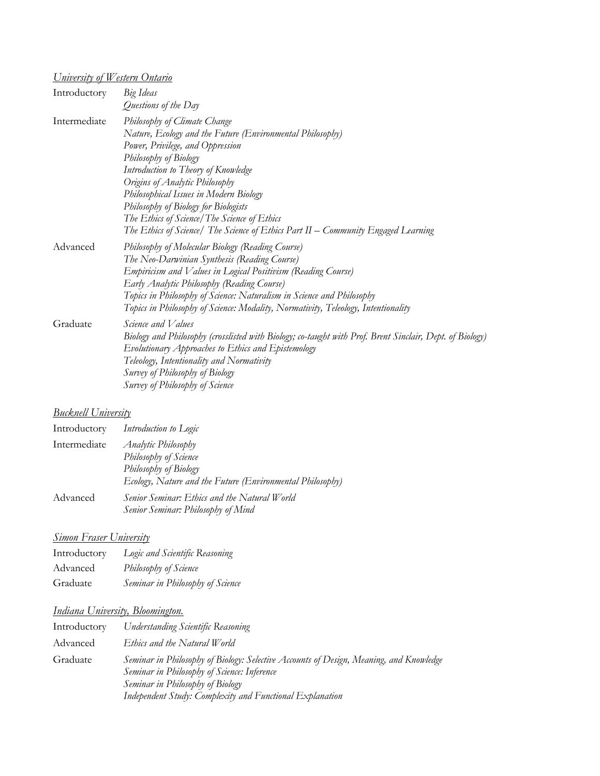# *University of Western Ontario*

| Introductory | Big Ideas<br>Questions of the Day                                                                                                                                                                                                                                                                                                                                                                                                                     |
|--------------|-------------------------------------------------------------------------------------------------------------------------------------------------------------------------------------------------------------------------------------------------------------------------------------------------------------------------------------------------------------------------------------------------------------------------------------------------------|
| Intermediate | Philosophy of Climate Change<br>Nature, Ecology and the Future (Environmental Philosophy)<br>Power, Privilege, and Oppression<br>Philosophy of Biology<br>Introduction to Theory of Knowledge<br>Origins of Analytic Philosophy<br>Philosophical Issues in Modern Biology<br>Philosophy of Biology for Biologists<br>The Ethics of Science/The Science of Ethics<br>The Ethics of Science/ The Science of Ethics Part II – Community Engaged Learning |
| Advanced     | Philosophy of Molecular Biology (Reading Course)<br>The Neo-Darwinian Synthesis (Reading Course)<br>Empiricism and Values in Logical Positivism (Reading Course)<br>Early Analytic Philosophy (Reading Course)<br>Topics in Philosophy of Science: Naturalism in Science and Philosophy<br>Topics in Philosophy of Science: Modality, Normativity, Teleology, Intentionality                                                                          |
| Graduate     | Science and Values<br>Biology and Philosophy (crosslisted with Biology; co-taught with Prof. Brent Sinclair, Dept. of Biology)<br>Evolutionary Approaches to Ethics and Epistemology<br>Teleology, Intentionality and Normativity<br>Survey of Philosophy of Biology<br>Survey of Philosophy of Science                                                                                                                                               |

# *Bucknell University*

| Introductory | Introduction to Logic                                                                                                                     |
|--------------|-------------------------------------------------------------------------------------------------------------------------------------------|
| Intermediate | <b>Analytic Philosophy</b><br>Philosophy of Science<br>Philosophy of Biology<br>Ecology, Nature and the Future (Environmental Philosophy) |
| Advanced     | Senior Seminar: Ethics and the Natural World<br>Senior Seminar: Philosophy of Mind                                                        |

# *Simon Fraser University*

| Introductory | Logic and Scientific Reasoning   |
|--------------|----------------------------------|
| Advanced     | Philosophy of Science            |
| Graduate     | Seminar in Philosophy of Science |

# *Indiana University, Bloomington.*

| Introductory | <b>Understanding Scientific Reasoning</b>                                                                                                                                                                                             |
|--------------|---------------------------------------------------------------------------------------------------------------------------------------------------------------------------------------------------------------------------------------|
| Advanced     | Ethics and the Natural World                                                                                                                                                                                                          |
| Graduate     | Seminar in Philosophy of Biology: Selective Accounts of Design, Meaning, and Knowledge<br>Seminar in Philosophy of Science: Inference<br>Seminar in Philosophy of Biology<br>Independent Study: Complexity and Functional Explanation |